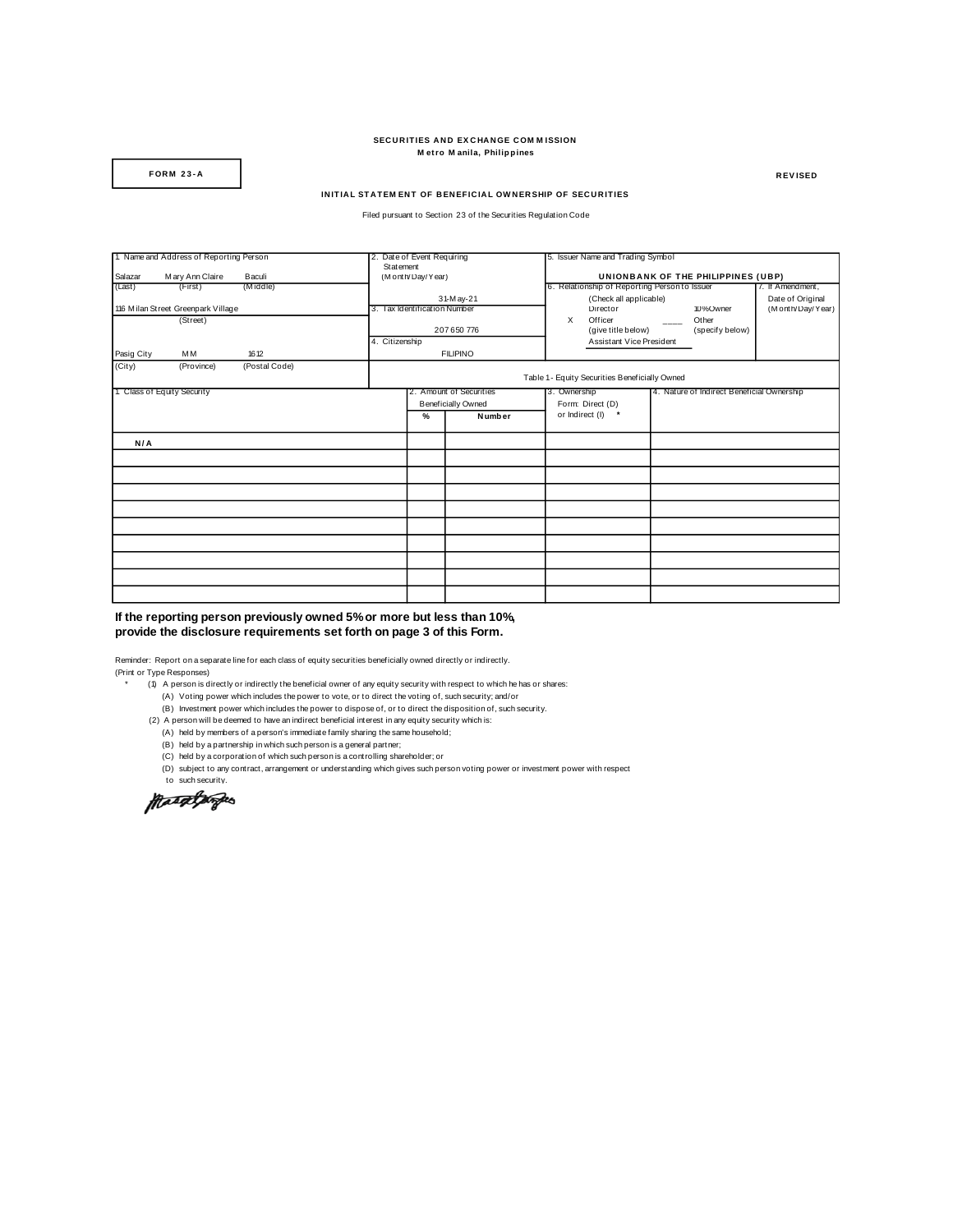## **SECURITIES AND EXCHANGE COMMISSION M et ro M anila, Philippines FORM 23-A RECURITIES AND EXCHANGE COMMISSION**<br> **RECURS MEER MEER MANILES AND EXCHANGE COMMISSION**<br> **REVISED**

## **INITIAL STATEM ENT OF BENEFICIAL OWNERSHIP OF SECURITIES**

Filed pursuant to Section 23 of the Securities Regulation Code

| 1. Name and Address of Reporting Person |                 |               |                              | 2. Date of Event Requiring |                 |                                                            | 5. Issuer Name and Trading Symbol                                                   |                          |                                      |                  |  |  |  |
|-----------------------------------------|-----------------|---------------|------------------------------|----------------------------|-----------------|------------------------------------------------------------|-------------------------------------------------------------------------------------|--------------------------|--------------------------------------|------------------|--|--|--|
|                                         |                 |               |                              | Statement                  |                 |                                                            |                                                                                     |                          |                                      |                  |  |  |  |
| Salazar                                 | Mary Ann Claire | Baculi        |                              | (Month/Day/Year)           |                 |                                                            | UNIONBANK OF THE PHILIPPINES (UBP)<br>6. Relationship of Reporting Person to Issuer |                          |                                      |                  |  |  |  |
| (Last)                                  | (First)         | (Middle)      |                              |                            |                 |                                                            |                                                                                     |                          |                                      | 7. If Amendment, |  |  |  |
|                                         |                 |               | 31-May-21                    |                            |                 |                                                            | (Check all applicable)                                                              |                          |                                      | Date of Original |  |  |  |
| 116 Milan Street Greenpark Village      |                 |               | 3. Tax Identification Number |                            |                 | $\times$                                                   | Director<br>Officer<br>(give title below)                                           | $\overline{\phantom{a}}$ | 10%Owner<br>Other<br>(specify below) | (Month/Day/Year) |  |  |  |
| (Street)                                |                 |               | 207650776                    |                            |                 |                                                            |                                                                                     |                          |                                      |                  |  |  |  |
|                                         |                 |               | 4. Citizenship               |                            |                 |                                                            |                                                                                     |                          |                                      |                  |  |  |  |
|                                         |                 |               |                              |                            |                 |                                                            | Assistant Vice President                                                            |                          |                                      |                  |  |  |  |
| Pasig City                              | MM              | 16 12         |                              |                            | <b>FILIPINO</b> |                                                            |                                                                                     |                          |                                      |                  |  |  |  |
| (City)                                  | (Province)      | (Postal Code) |                              |                            |                 |                                                            |                                                                                     |                          |                                      |                  |  |  |  |
|                                         |                 |               |                              |                            |                 |                                                            | Table 1 - Equity Securities Beneficially Owned                                      |                          |                                      |                  |  |  |  |
| 1. Class of Equity Security             |                 |               | 2. Amount of Securities      |                            |                 | 3. Ownership<br>4. Nature of Indirect Beneficial Ownership |                                                                                     |                          |                                      |                  |  |  |  |
|                                         |                 |               |                              | <b>Beneficially Owned</b>  |                 |                                                            | Form: Direct (D)                                                                    |                          |                                      |                  |  |  |  |
|                                         |                 |               |                              | $\frac{9}{6}$              | Number          |                                                            | or Indirect (I) *                                                                   |                          |                                      |                  |  |  |  |
|                                         |                 |               |                              |                            |                 |                                                            |                                                                                     |                          |                                      |                  |  |  |  |
| N/A                                     |                 |               |                              |                            |                 |                                                            |                                                                                     |                          |                                      |                  |  |  |  |
|                                         |                 |               |                              |                            |                 |                                                            |                                                                                     |                          |                                      |                  |  |  |  |
|                                         |                 |               |                              |                            |                 |                                                            |                                                                                     |                          |                                      |                  |  |  |  |
|                                         |                 |               |                              |                            |                 |                                                            |                                                                                     |                          |                                      |                  |  |  |  |
|                                         |                 |               |                              |                            |                 |                                                            |                                                                                     |                          |                                      |                  |  |  |  |
|                                         |                 |               |                              |                            |                 |                                                            |                                                                                     |                          |                                      |                  |  |  |  |
|                                         |                 |               |                              |                            |                 |                                                            |                                                                                     |                          |                                      |                  |  |  |  |
|                                         |                 |               |                              |                            |                 |                                                            |                                                                                     |                          |                                      |                  |  |  |  |
|                                         |                 |               |                              |                            |                 |                                                            |                                                                                     |                          |                                      |                  |  |  |  |
|                                         |                 |               |                              |                            |                 |                                                            |                                                                                     |                          |                                      |                  |  |  |  |

## **If the reporting person previously owned 5% or more but less than 10%, provide the disclosure requirements set forth on page 3 of this Form.**

Reminder: Report on a separate line for each class of equity securities beneficially owned directly or indirectly. (Print or Type Responses)

 $(1)$  A person is directly or indirectly the beneficial owner of any equity security with respect to which he has or shares:

- (A) Voting power which includes the power to vote, or to direct the voting of, such security; and/or
- (B) Investment power which includes the power to dispose of, or to direct the disposition of, such security.

(2) A person will be deemed to have an indirect beneficial interest in any equity security which is: (A) held by members of a person's immediate family sharing the same household;

- 
- 
- (C) held by a corporation of which such person is a controlling shareholder; or
- (B) held by a partnership in which such person is a general partner;<br>(C) held by a corporation of which such person is a general partner;<br>(C) held by a corporation of which such person is a controlling sha<br>(D) subject to (D) subject to any contract, arrangement or understanding which gives such person voting power or investment power with respect

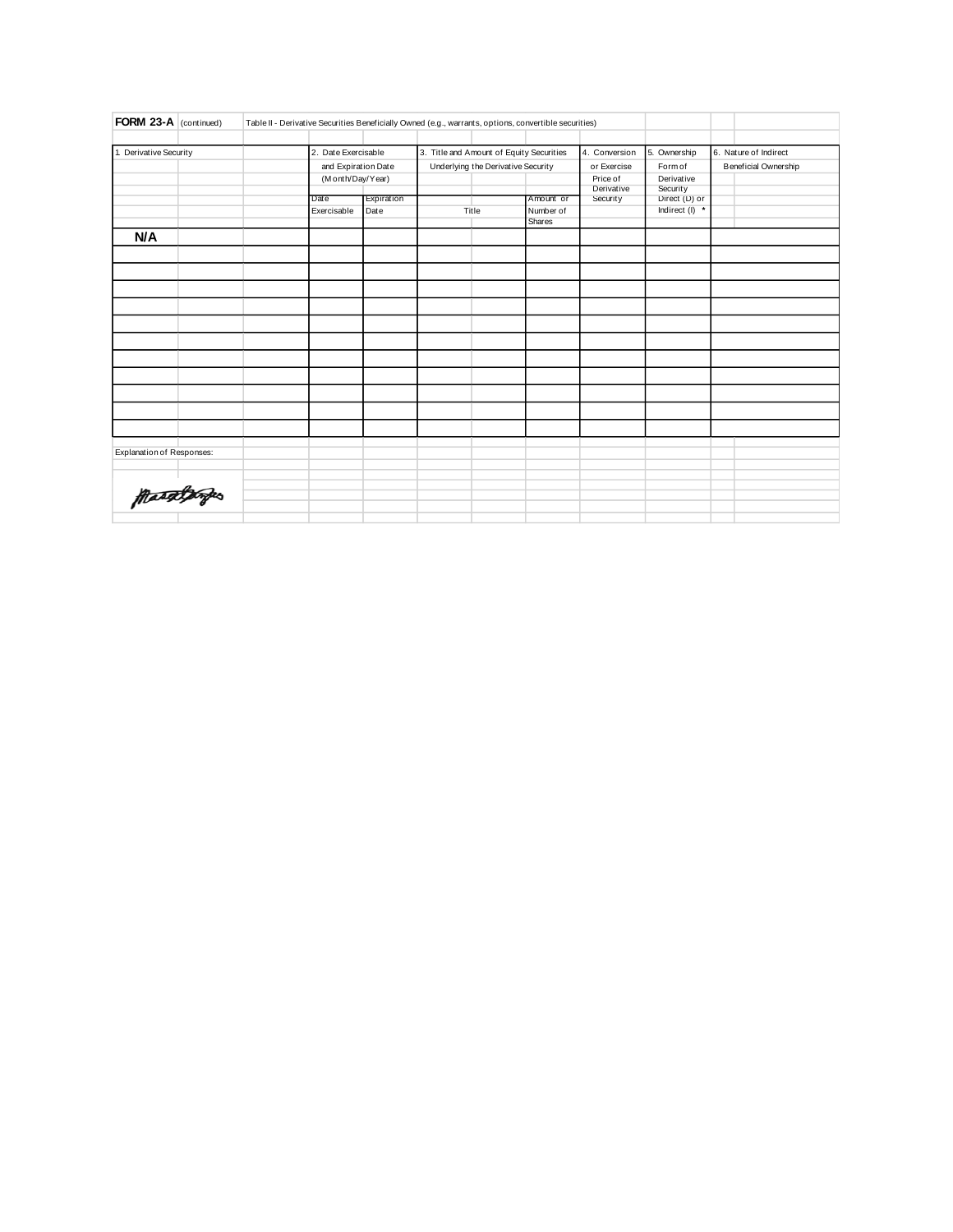| FORM 23-A (continued)     | Table II - Derivative Securities Beneficially Owned (e.g., warrants, options, convertible securities) |                     |            |                                                           |       |             |            |                      |                       |
|---------------------------|-------------------------------------------------------------------------------------------------------|---------------------|------------|-----------------------------------------------------------|-------|-------------|------------|----------------------|-----------------------|
|                           |                                                                                                       |                     |            |                                                           |       |             |            |                      |                       |
| 1. Derivative Security    |                                                                                                       | 2. Date Exercisable |            | 3. Title and Amount of Equity Securities<br>4. Conversion |       |             |            | 5. Ownership         | 6. Nature of Indirect |
|                           |                                                                                                       | and Expiration Date |            | Underlying the Derivative Security                        |       | or Exercise | Form of    | Beneficial Ownership |                       |
|                           |                                                                                                       | (M onth/Day/Year)   |            |                                                           |       |             | Price of   | Derivative           |                       |
|                           |                                                                                                       |                     |            |                                                           |       |             | Derivative | Security             |                       |
|                           |                                                                                                       | Date                | Expiration |                                                           |       | Amount or   | Security   | Direct (D) or        |                       |
|                           |                                                                                                       | Exercisable         | Date       |                                                           | Title | Number of   |            | Indirect (I) *       |                       |
|                           |                                                                                                       |                     |            |                                                           |       | Shares      |            |                      |                       |
| N/A                       |                                                                                                       |                     |            |                                                           |       |             |            |                      |                       |
|                           |                                                                                                       |                     |            |                                                           |       |             |            |                      |                       |
|                           |                                                                                                       |                     |            |                                                           |       |             |            |                      |                       |
|                           |                                                                                                       |                     |            |                                                           |       |             |            |                      |                       |
|                           |                                                                                                       |                     |            |                                                           |       |             |            |                      |                       |
|                           |                                                                                                       |                     |            |                                                           |       |             |            |                      |                       |
|                           |                                                                                                       |                     |            |                                                           |       |             |            |                      |                       |
|                           |                                                                                                       |                     |            |                                                           |       |             |            |                      |                       |
|                           |                                                                                                       |                     |            |                                                           |       |             |            |                      |                       |
|                           |                                                                                                       |                     |            |                                                           |       |             |            |                      |                       |
|                           |                                                                                                       |                     |            |                                                           |       |             |            |                      |                       |
|                           |                                                                                                       |                     |            |                                                           |       |             |            |                      |                       |
|                           |                                                                                                       |                     |            |                                                           |       |             |            |                      |                       |
| Explanation of Responses: |                                                                                                       |                     |            |                                                           |       |             |            |                      |                       |
|                           |                                                                                                       |                     |            |                                                           |       |             |            |                      |                       |
|                           |                                                                                                       |                     |            |                                                           |       |             |            |                      |                       |
|                           |                                                                                                       |                     |            |                                                           |       |             |            |                      |                       |
| ftasælporpes              |                                                                                                       |                     |            |                                                           |       |             |            |                      |                       |
|                           |                                                                                                       |                     |            |                                                           |       |             |            |                      |                       |
|                           |                                                                                                       |                     |            |                                                           |       |             |            |                      |                       |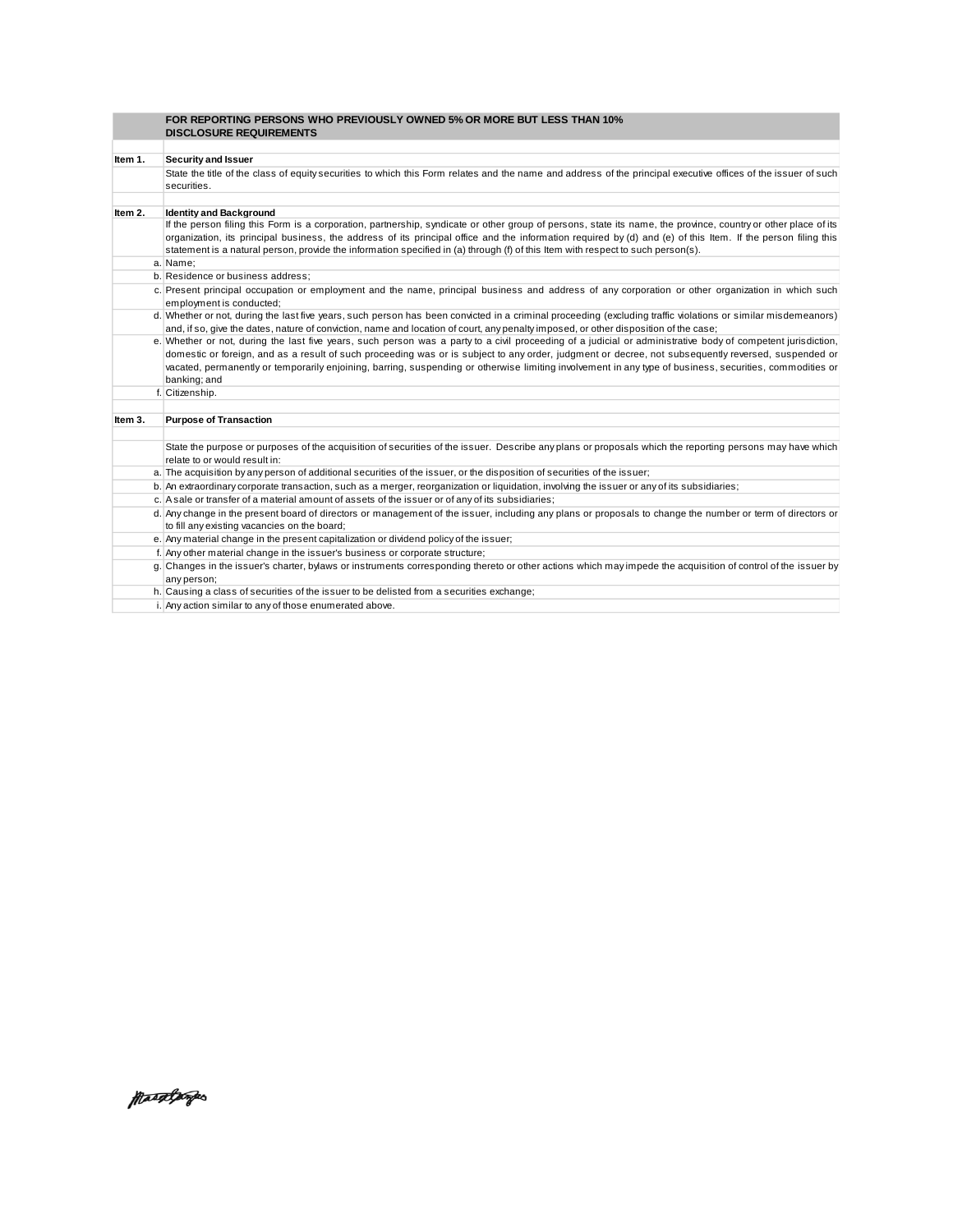|         | FOR REPORTING PERSONS WHO PREVIOUSLY OWNED 5% OR MORE BUT LESS THAN 10%<br><b>DISCLOSURE REQUIREMENTS</b>                                                                     |
|---------|-------------------------------------------------------------------------------------------------------------------------------------------------------------------------------|
|         |                                                                                                                                                                               |
| Item 1. | Security and Issuer                                                                                                                                                           |
|         | State the title of the class of equity securities to which this Form relates and the name and address of the principal executive offices of the issuer of such                |
|         | securities.                                                                                                                                                                   |
|         |                                                                                                                                                                               |
| Item 2. | <b>Identity and Background</b>                                                                                                                                                |
|         | If the person filing this Form is a corporation, partnership, syndicate or other group of persons, state its name, the province, country or other place of its                |
|         | organization, its principal business, the address of its principal office and the information required by (d) and (e) of this Item. If the person filing this                 |
|         | statement is a natural person, provide the information specified in (a) through (f) of this Item with respect to such person(s).                                              |
|         | a. Name:                                                                                                                                                                      |
|         | b. Residence or business address;                                                                                                                                             |
|         | c. Present principal occupation or employment and the name, principal business and address of any corporation or other organization in which such<br>employment is conducted; |
|         | d. Whether or not, during the last five years, such person has been convicted in a criminal proceeding (excluding traffic violations or similar misdemeanors)                 |
|         | and, if so, give the dates, nature of conviction, name and location of court, any penalty imposed, or other disposition of the case;                                          |
|         | e. Whether or not, during the last five years, such person was a party to a civil proceeding of a judicial or administrative body of competent jurisdiction,                  |
|         | domestic or foreign, and as a result of such proceeding was or is subject to any order, judgment or decree, not subsequently reversed, suspended or                           |
|         | vacated, permanently or temporarily enjoining, barring, suspending or otherwise limiting involvement in any type of business, securities, commodities or                      |
|         | banking; and                                                                                                                                                                  |
|         | f. Citizenship.                                                                                                                                                               |
|         |                                                                                                                                                                               |
| Item 3. | <b>Purpose of Transaction</b>                                                                                                                                                 |
|         |                                                                                                                                                                               |
|         | State the purpose or purposes of the acquisition of securities of the issuer. Describe any plans or proposals which the reporting persons may have which                      |
|         | relate to or would result in:                                                                                                                                                 |
|         | a. The acquisition by any person of additional securities of the issuer, or the disposition of securities of the issuer;                                                      |
|         | b. An extraordinary corporate transaction, such as a merger, reorganization or liquidation, involving the issuer or any of its subsidiaries;                                  |
|         | c. A sale or transfer of a material amount of assets of the issuer or of any of its subsidiaries;                                                                             |
|         | d. Any change in the present board of directors or management of the issuer, including any plans or proposals to change the number or term of directors or                    |
|         | to fill any existing vacancies on the board;                                                                                                                                  |
|         | e. Any material change in the present capitalization or dividend policy of the issuer;                                                                                        |
|         | f. Any other material change in the issuer's business or corporate structure;                                                                                                 |
|         | g. Changes in the issuer's charter, bylaws or instruments corresponding thereto or other actions which may impede the acquisition of control of the issuer by<br>any person;  |
|         | h. Causing a class of securities of the issuer to be delisted from a securities exchange;                                                                                     |
|         | i. Any action similar to any of those enumerated above.                                                                                                                       |

MaageBarges